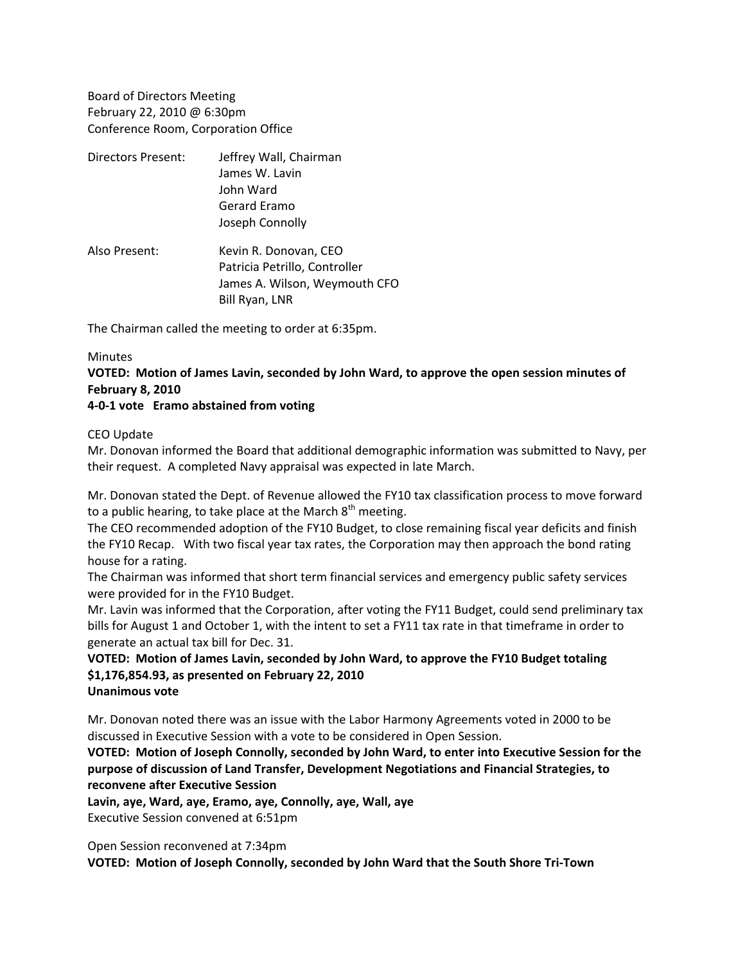Board of Directors Meeting February 22, 2010 @ 6:30pm Conference Room, Corporation Office

- Directors Present: Jeffrey Wall, Chairman James W. Lavin John Ward Gerard Eramo Joseph Connolly
- Also Present: Kevin R. Donovan, CEO Patricia Petrillo, Controller James A. Wilson, Weymouth CFO Bill Ryan, LNR

The Chairman called the meeting to order at 6:35pm.

## **Minutes**

**VOTED: Motion of James Lavin, seconded by John Ward, to approve the open session minutes of February 8, 2010**

## **4‐0‐1 vote Eramo abstained from voting**

#### CEO Update

Mr. Donovan informed the Board that additional demographic information was submitted to Navy, per their request. A completed Navy appraisal was expected in late March.

Mr. Donovan stated the Dept. of Revenue allowed the FY10 tax classification process to move forward to a public hearing, to take place at the March  $8<sup>th</sup>$  meeting.

The CEO recommended adoption of the FY10 Budget, to close remaining fiscal year deficits and finish the FY10 Recap. With two fiscal year tax rates, the Corporation may then approach the bond rating house for a rating.

The Chairman was informed that short term financial services and emergency public safety services were provided for in the FY10 Budget.

Mr. Lavin was informed that the Corporation, after voting the FY11 Budget, could send preliminary tax bills for August 1 and October 1, with the intent to set a FY11 tax rate in that timeframe in order to generate an actual tax bill for Dec. 31.

# **VOTED: Motion of James Lavin, seconded by John Ward, to approve the FY10 Budget totaling \$1,176,854.93, as presented on February 22, 2010**

# **Unanimous vote**

Mr. Donovan noted there was an issue with the Labor Harmony Agreements voted in 2000 to be discussed in Executive Session with a vote to be considered in Open Session.

**VOTED: Motion of Joseph Connolly, seconded by John Ward, to enter into Executive Session for the purpose of discussion of Land Transfer, Development Negotiations and Financial Strategies, to reconvene after Executive Session**

**Lavin, aye, Ward, aye, Eramo, aye, Connolly, aye, Wall, aye**

Executive Session convened at 6:51pm

Open Session reconvened at 7:34pm

**VOTED: Motion of Joseph Connolly, seconded by John Ward that the South Shore Tri‐Town**